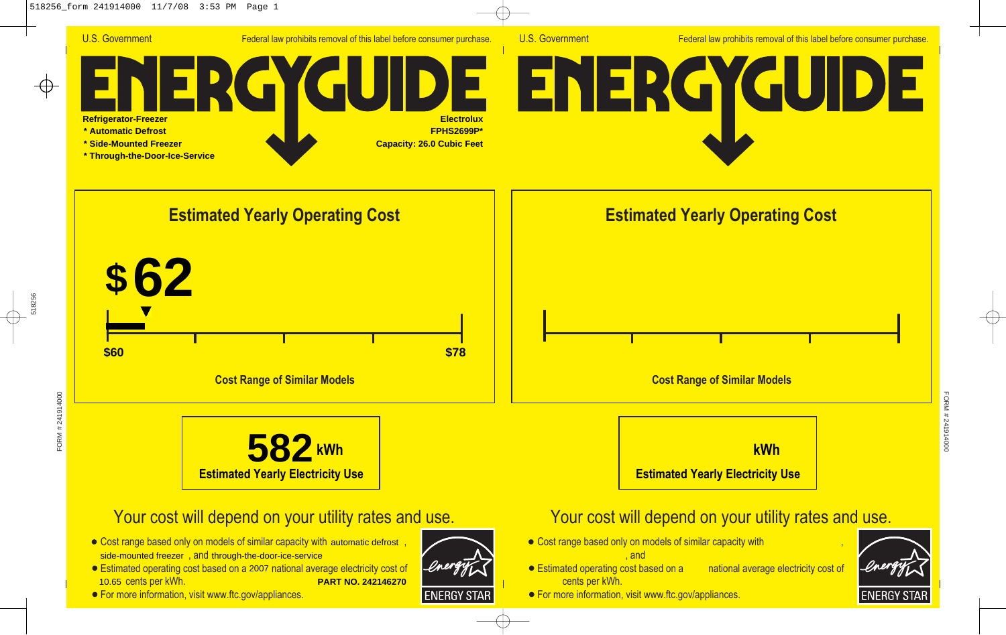

U.S. Government Federal law prohibits removal of this label before consumer purchase.







## Your cost will depend on your utility rates and use.

- Cost range based only on models of similar capacity with automatic defrost, side-mounted freezer, and through-the-door-ice-service
- Estimated operating cost based on a 2007 national average electricity cost of 10.65 cents per kWh. **PART NO. 242146270**
- **For more information, visit www.ftc.gov/appliances.**